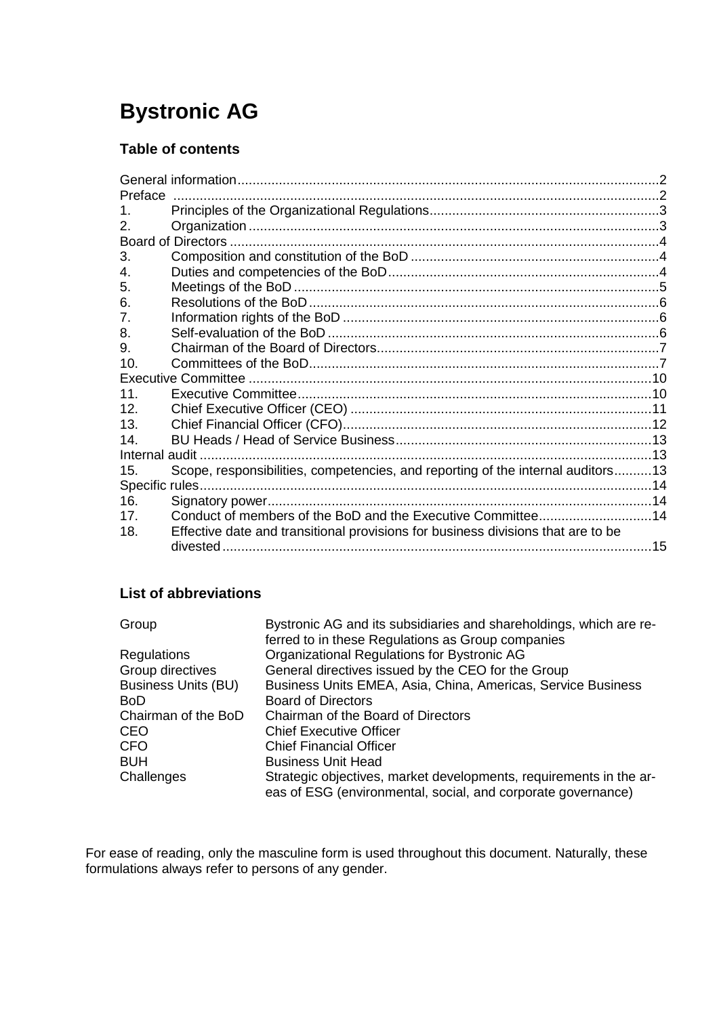# **Bystronic AG**

# **Table of contents**

| Preface               |                                                                                  |    |  |
|-----------------------|----------------------------------------------------------------------------------|----|--|
| 1.                    |                                                                                  |    |  |
| 2.                    |                                                                                  |    |  |
| Board of Directors    |                                                                                  |    |  |
| 3.                    |                                                                                  |    |  |
| 4.                    |                                                                                  |    |  |
| 5.                    |                                                                                  | 5  |  |
| 6.                    |                                                                                  |    |  |
| 7.                    |                                                                                  |    |  |
| 8.                    |                                                                                  |    |  |
| 9.                    |                                                                                  |    |  |
| 10 <sub>1</sub>       |                                                                                  |    |  |
|                       |                                                                                  |    |  |
| 11 <sub>1</sub>       |                                                                                  |    |  |
| 12.                   |                                                                                  |    |  |
| 13.                   |                                                                                  |    |  |
| 14.                   |                                                                                  |    |  |
| .13<br>Internal audit |                                                                                  |    |  |
| 15.                   | Scope, responsibilities, competencies, and reporting of the internal auditors13  |    |  |
|                       |                                                                                  |    |  |
| 16.                   |                                                                                  |    |  |
| 17.                   | Conduct of members of the BoD and the Executive Committee14                      |    |  |
| 18.                   | Effective date and transitional provisions for business divisions that are to be |    |  |
|                       |                                                                                  | 15 |  |
|                       |                                                                                  |    |  |

# **List of abbreviations**

| Group                      | Bystronic AG and its subsidiaries and shareholdings, which are re-                                                                 |
|----------------------------|------------------------------------------------------------------------------------------------------------------------------------|
|                            | ferred to in these Regulations as Group companies                                                                                  |
| Regulations                | Organizational Regulations for Bystronic AG                                                                                        |
| Group directives           | General directives issued by the CEO for the Group                                                                                 |
| <b>Business Units (BU)</b> | Business Units EMEA, Asia, China, Americas, Service Business                                                                       |
| BoD                        | <b>Board of Directors</b>                                                                                                          |
| Chairman of the BoD        | Chairman of the Board of Directors                                                                                                 |
| <b>CEO</b>                 | <b>Chief Executive Officer</b>                                                                                                     |
| <b>CFO</b>                 | <b>Chief Financial Officer</b>                                                                                                     |
| <b>BUH</b>                 | <b>Business Unit Head</b>                                                                                                          |
| Challenges                 | Strategic objectives, market developments, requirements in the ar-<br>eas of ESG (environmental, social, and corporate governance) |
|                            |                                                                                                                                    |

For ease of reading, only the masculine form is used throughout this document. Naturally, these formulations always refer to persons of any gender.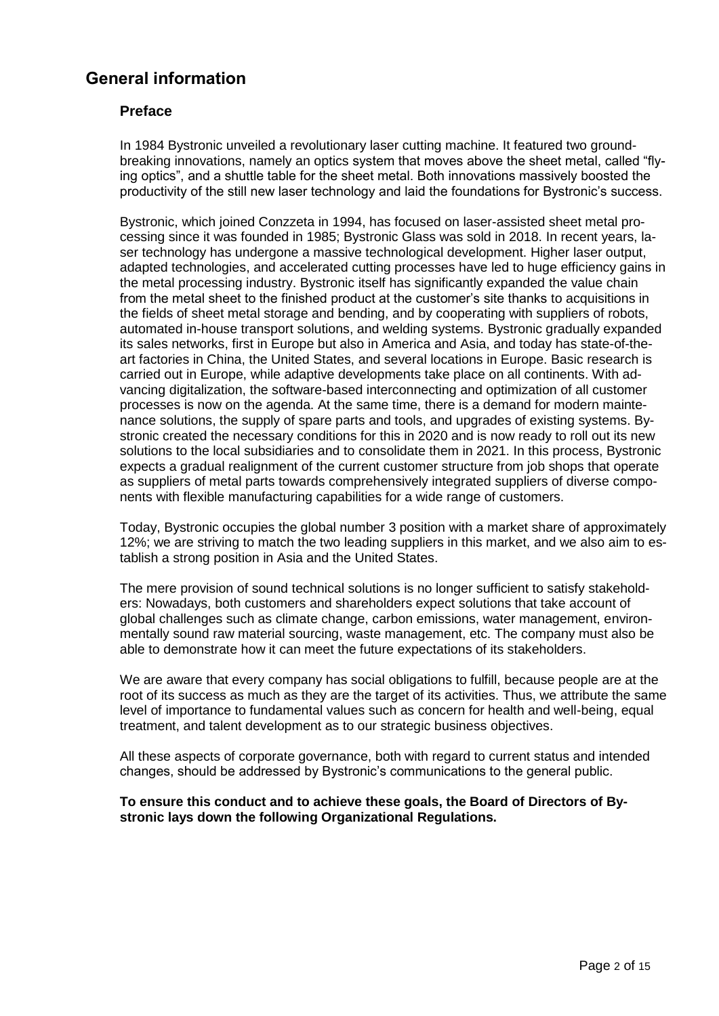# <span id="page-1-1"></span><span id="page-1-0"></span>**General information**

## **Preface**

In 1984 Bystronic unveiled a revolutionary laser cutting machine. It featured two groundbreaking innovations, namely an optics system that moves above the sheet metal, called "flying optics", and a shuttle table for the sheet metal. Both innovations massively boosted the productivity of the still new laser technology and laid the foundations for Bystronic's success.

Bystronic, which joined Conzzeta in 1994, has focused on laser-assisted sheet metal processing since it was founded in 1985; Bystronic Glass was sold in 2018. In recent years, laser technology has undergone a massive technological development. Higher laser output, adapted technologies, and accelerated cutting processes have led to huge efficiency gains in the metal processing industry. Bystronic itself has significantly expanded the value chain from the metal sheet to the finished product at the customer's site thanks to acquisitions in the fields of sheet metal storage and bending, and by cooperating with suppliers of robots, automated in-house transport solutions, and welding systems. Bystronic gradually expanded its sales networks, first in Europe but also in America and Asia, and today has state-of-theart factories in China, the United States, and several locations in Europe. Basic research is carried out in Europe, while adaptive developments take place on all continents. With advancing digitalization, the software-based interconnecting and optimization of all customer processes is now on the agenda. At the same time, there is a demand for modern maintenance solutions, the supply of spare parts and tools, and upgrades of existing systems. Bystronic created the necessary conditions for this in 2020 and is now ready to roll out its new solutions to the local subsidiaries and to consolidate them in 2021. In this process, Bystronic expects a gradual realignment of the current customer structure from job shops that operate as suppliers of metal parts towards comprehensively integrated suppliers of diverse components with flexible manufacturing capabilities for a wide range of customers.

Today, Bystronic occupies the global number 3 position with a market share of approximately 12%; we are striving to match the two leading suppliers in this market, and we also aim to establish a strong position in Asia and the United States.

The mere provision of sound technical solutions is no longer sufficient to satisfy stakeholders: Nowadays, both customers and shareholders expect solutions that take account of global challenges such as climate change, carbon emissions, water management, environmentally sound raw material sourcing, waste management, etc. The company must also be able to demonstrate how it can meet the future expectations of its stakeholders.

We are aware that every company has social obligations to fulfill, because people are at the root of its success as much as they are the target of its activities. Thus, we attribute the same level of importance to fundamental values such as concern for health and well-being, equal treatment, and talent development as to our strategic business objectives.

All these aspects of corporate governance, both with regard to current status and intended changes, should be addressed by Bystronic's communications to the general public.

#### **To ensure this conduct and to achieve these goals, the Board of Directors of Bystronic lays down the following Organizational Regulations.**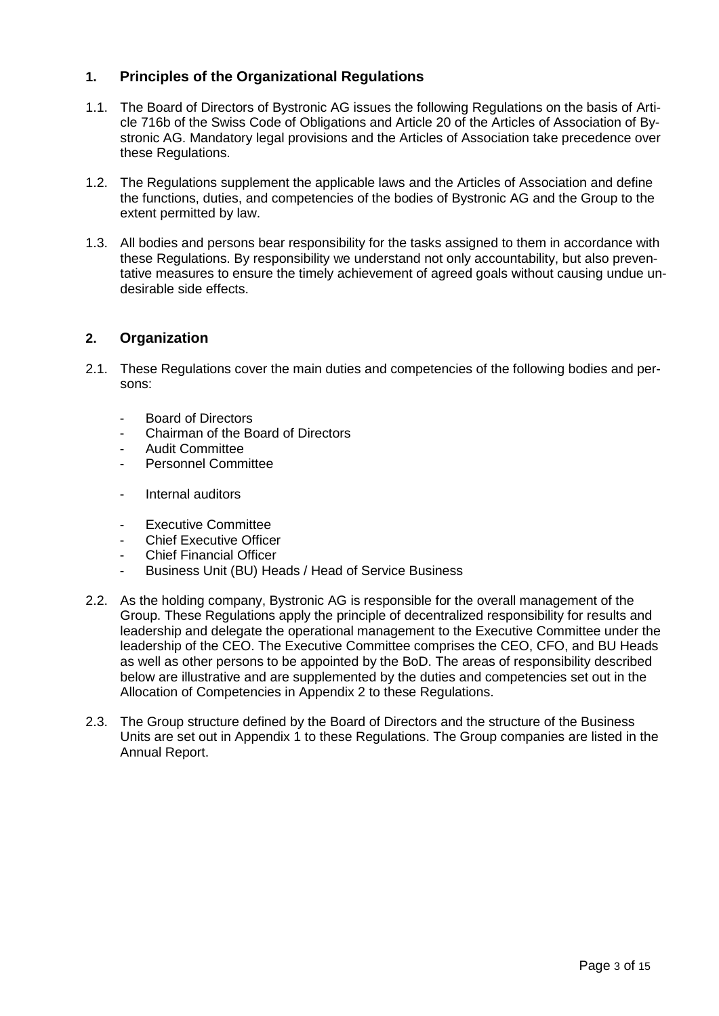# <span id="page-2-0"></span>**1. Principles of the Organizational Regulations**

- 1.1. The Board of Directors of Bystronic AG issues the following Regulations on the basis of Article 716b of the Swiss Code of Obligations and Article 20 of the Articles of Association of Bystronic AG. Mandatory legal provisions and the Articles of Association take precedence over these Regulations.
- 1.2. The Regulations supplement the applicable laws and the Articles of Association and define the functions, duties, and competencies of the bodies of Bystronic AG and the Group to the extent permitted by law.
- 1.3. All bodies and persons bear responsibility for the tasks assigned to them in accordance with these Regulations. By responsibility we understand not only accountability, but also preventative measures to ensure the timely achievement of agreed goals without causing undue undesirable side effects.

#### <span id="page-2-1"></span>**2. Organization**

- 2.1. These Regulations cover the main duties and competencies of the following bodies and persons:
	- Board of Directors
	- Chairman of the Board of Directors
	- Audit Committee
	- Personnel Committee
	- Internal auditors
	- Executive Committee
	- **Chief Executive Officer**
	- Chief Financial Officer
	- Business Unit (BU) Heads / Head of Service Business
- 2.2. As the holding company, Bystronic AG is responsible for the overall management of the Group. These Regulations apply the principle of decentralized responsibility for results and leadership and delegate the operational management to the Executive Committee under the leadership of the CEO. The Executive Committee comprises the CEO, CFO, and BU Heads as well as other persons to be appointed by the BoD. The areas of responsibility described below are illustrative and are supplemented by the duties and competencies set out in the Allocation of Competencies in Appendix 2 to these Regulations.
- 2.3. The Group structure defined by the Board of Directors and the structure of the Business Units are set out in Appendix 1 to these Regulations. The Group companies are listed in the Annual Report.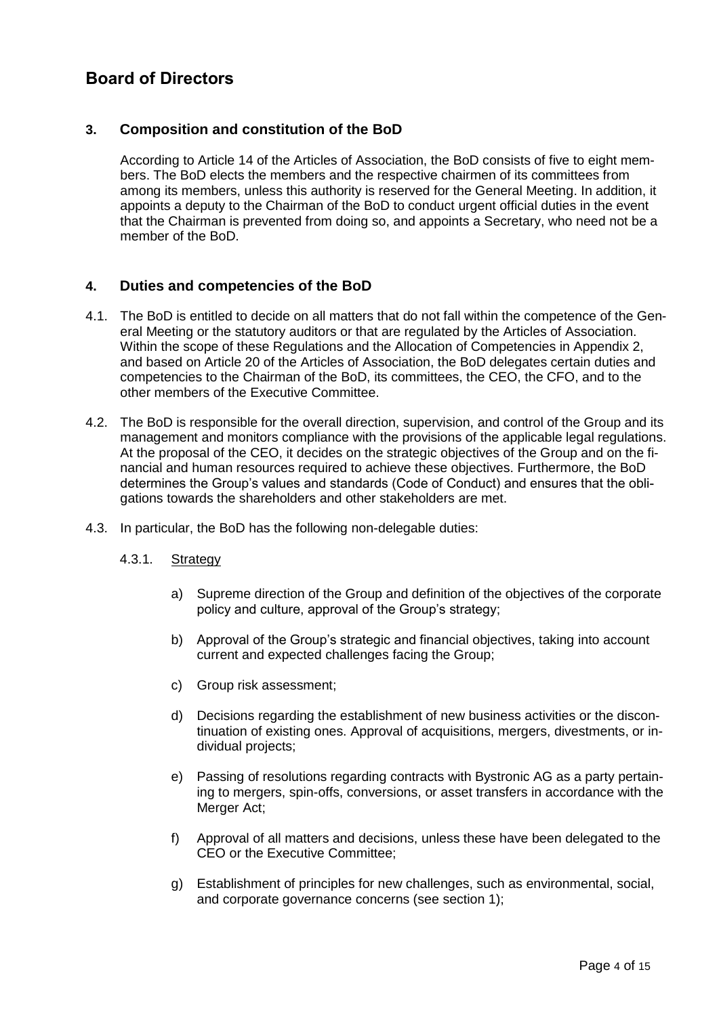# <span id="page-3-0"></span>**Board of Directors**

## <span id="page-3-1"></span>**3. Composition and constitution of the BoD**

According to Article 14 of the Articles of Association, the BoD consists of five to eight members. The BoD elects the members and the respective chairmen of its committees from among its members, unless this authority is reserved for the General Meeting. In addition, it appoints a deputy to the Chairman of the BoD to conduct urgent official duties in the event that the Chairman is prevented from doing so, and appoints a Secretary, who need not be a member of the BoD.

#### <span id="page-3-2"></span>**4. Duties and competencies of the BoD**

- 4.1. The BoD is entitled to decide on all matters that do not fall within the competence of the General Meeting or the statutory auditors or that are regulated by the Articles of Association. Within the scope of these Regulations and the Allocation of Competencies in Appendix 2, and based on Article 20 of the Articles of Association, the BoD delegates certain duties and competencies to the Chairman of the BoD, its committees, the CEO, the CFO, and to the other members of the Executive Committee.
- 4.2. The BoD is responsible for the overall direction, supervision, and control of the Group and its management and monitors compliance with the provisions of the applicable legal regulations. At the proposal of the CEO, it decides on the strategic objectives of the Group and on the financial and human resources required to achieve these objectives. Furthermore, the BoD determines the Group's values and standards (Code of Conduct) and ensures that the obligations towards the shareholders and other stakeholders are met.
- 4.3. In particular, the BoD has the following non-delegable duties:

#### 4.3.1. Strategy

- a) Supreme direction of the Group and definition of the objectives of the corporate policy and culture, approval of the Group's strategy;
- b) Approval of the Group's strategic and financial objectives, taking into account current and expected challenges facing the Group;
- c) Group risk assessment;
- d) Decisions regarding the establishment of new business activities or the discontinuation of existing ones. Approval of acquisitions, mergers, divestments, or individual projects;
- e) Passing of resolutions regarding contracts with Bystronic AG as a party pertaining to mergers, spin-offs, conversions, or asset transfers in accordance with the Merger Act;
- f) Approval of all matters and decisions, unless these have been delegated to the CEO or the Executive Committee;
- g) Establishment of principles for new challenges, such as environmental, social, and corporate governance concerns (see section 1);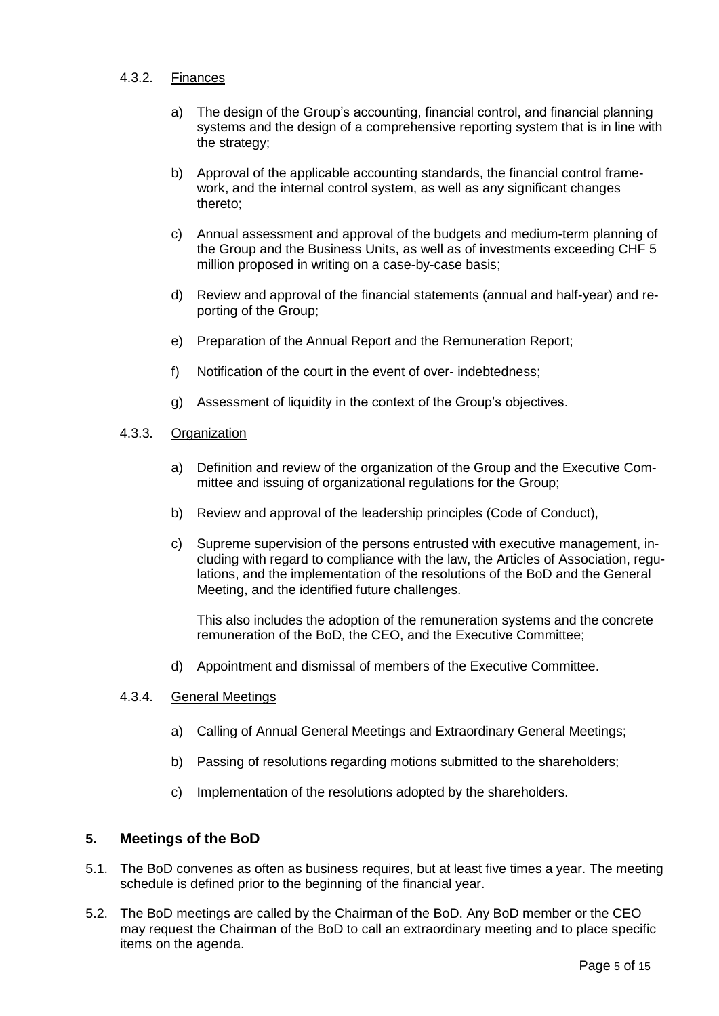#### 4.3.2. Finances

- a) The design of the Group's accounting, financial control, and financial planning systems and the design of a comprehensive reporting system that is in line with the strategy;
- b) Approval of the applicable accounting standards, the financial control framework, and the internal control system, as well as any significant changes thereto;
- c) Annual assessment and approval of the budgets and medium-term planning of the Group and the Business Units, as well as of investments exceeding CHF 5 million proposed in writing on a case-by-case basis;
- d) Review and approval of the financial statements (annual and half-year) and reporting of the Group;
- e) Preparation of the Annual Report and the Remuneration Report;
- f) Notification of the court in the event of over- indebtedness;
- g) Assessment of liquidity in the context of the Group's objectives.

#### 4.3.3. Organization

- a) Definition and review of the organization of the Group and the Executive Committee and issuing of organizational regulations for the Group;
- b) Review and approval of the leadership principles (Code of Conduct),
- c) Supreme supervision of the persons entrusted with executive management, including with regard to compliance with the law, the Articles of Association, regulations, and the implementation of the resolutions of the BoD and the General Meeting, and the identified future challenges.

This also includes the adoption of the remuneration systems and the concrete remuneration of the BoD, the CEO, and the Executive Committee;

d) Appointment and dismissal of members of the Executive Committee.

#### 4.3.4. General Meetings

- a) Calling of Annual General Meetings and Extraordinary General Meetings;
- b) Passing of resolutions regarding motions submitted to the shareholders;
- c) Implementation of the resolutions adopted by the shareholders.

#### <span id="page-4-0"></span>**5. Meetings of the BoD**

- 5.1. The BoD convenes as often as business requires, but at least five times a year. The meeting schedule is defined prior to the beginning of the financial year.
- 5.2. The BoD meetings are called by the Chairman of the BoD. Any BoD member or the CEO may request the Chairman of the BoD to call an extraordinary meeting and to place specific items on the agenda.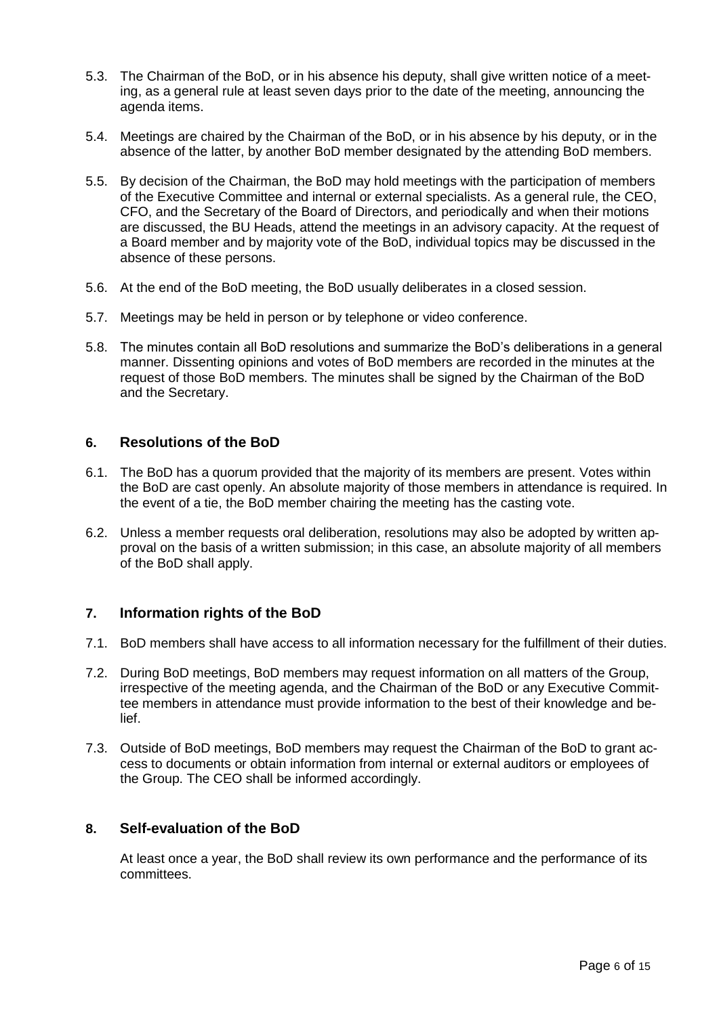- 5.3. The Chairman of the BoD, or in his absence his deputy, shall give written notice of a meeting, as a general rule at least seven days prior to the date of the meeting, announcing the agenda items.
- 5.4. Meetings are chaired by the Chairman of the BoD, or in his absence by his deputy, or in the absence of the latter, by another BoD member designated by the attending BoD members.
- 5.5. By decision of the Chairman, the BoD may hold meetings with the participation of members of the Executive Committee and internal or external specialists. As a general rule, the CEO, CFO, and the Secretary of the Board of Directors, and periodically and when their motions are discussed, the BU Heads, attend the meetings in an advisory capacity. At the request of a Board member and by majority vote of the BoD, individual topics may be discussed in the absence of these persons.
- 5.6. At the end of the BoD meeting, the BoD usually deliberates in a closed session.
- 5.7. Meetings may be held in person or by telephone or video conference.
- 5.8. The minutes contain all BoD resolutions and summarize the BoD's deliberations in a general manner. Dissenting opinions and votes of BoD members are recorded in the minutes at the request of those BoD members. The minutes shall be signed by the Chairman of the BoD and the Secretary.

#### <span id="page-5-0"></span>**6. Resolutions of the BoD**

- 6.1. The BoD has a quorum provided that the majority of its members are present. Votes within the BoD are cast openly. An absolute majority of those members in attendance is required. In the event of a tie, the BoD member chairing the meeting has the casting vote.
- 6.2. Unless a member requests oral deliberation, resolutions may also be adopted by written approval on the basis of a written submission; in this case, an absolute majority of all members of the BoD shall apply.

#### <span id="page-5-1"></span>**7. Information rights of the BoD**

- 7.1. BoD members shall have access to all information necessary for the fulfillment of their duties.
- 7.2. During BoD meetings, BoD members may request information on all matters of the Group, irrespective of the meeting agenda, and the Chairman of the BoD or any Executive Committee members in attendance must provide information to the best of their knowledge and belief.
- 7.3. Outside of BoD meetings, BoD members may request the Chairman of the BoD to grant access to documents or obtain information from internal or external auditors or employees of the Group. The CEO shall be informed accordingly.

#### <span id="page-5-2"></span>**8. Self-evaluation of the BoD**

At least once a year, the BoD shall review its own performance and the performance of its committees.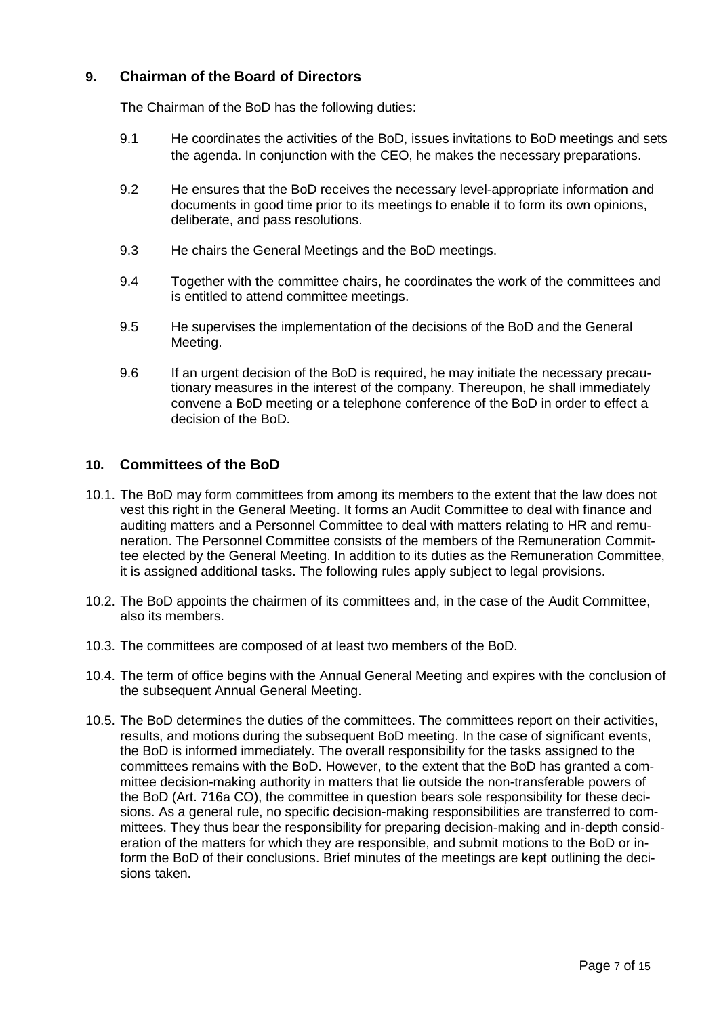# <span id="page-6-0"></span>**9. Chairman of the Board of Directors**

The Chairman of the BoD has the following duties:

- 9.1 He coordinates the activities of the BoD, issues invitations to BoD meetings and sets the agenda. In conjunction with the CEO, he makes the necessary preparations.
- 9.2 He ensures that the BoD receives the necessary level-appropriate information and documents in good time prior to its meetings to enable it to form its own opinions, deliberate, and pass resolutions.
- 9.3 He chairs the General Meetings and the BoD meetings.
- 9.4 Together with the committee chairs, he coordinates the work of the committees and is entitled to attend committee meetings.
- 9.5 He supervises the implementation of the decisions of the BoD and the General Meeting.
- 9.6 If an urgent decision of the BoD is required, he may initiate the necessary precautionary measures in the interest of the company. Thereupon, he shall immediately convene a BoD meeting or a telephone conference of the BoD in order to effect a decision of the BoD.

#### <span id="page-6-1"></span>**10. Committees of the BoD**

- 10.1. The BoD may form committees from among its members to the extent that the law does not vest this right in the General Meeting. It forms an Audit Committee to deal with finance and auditing matters and a Personnel Committee to deal with matters relating to HR and remuneration. The Personnel Committee consists of the members of the Remuneration Committee elected by the General Meeting. In addition to its duties as the Remuneration Committee, it is assigned additional tasks. The following rules apply subject to legal provisions.
- 10.2. The BoD appoints the chairmen of its committees and, in the case of the Audit Committee, also its members.
- 10.3. The committees are composed of at least two members of the BoD.
- 10.4. The term of office begins with the Annual General Meeting and expires with the conclusion of the subsequent Annual General Meeting.
- 10.5. The BoD determines the duties of the committees. The committees report on their activities, results, and motions during the subsequent BoD meeting. In the case of significant events, the BoD is informed immediately. The overall responsibility for the tasks assigned to the committees remains with the BoD. However, to the extent that the BoD has granted a committee decision-making authority in matters that lie outside the non-transferable powers of the BoD (Art. 716a CO), the committee in question bears sole responsibility for these decisions. As a general rule, no specific decision-making responsibilities are transferred to committees. They thus bear the responsibility for preparing decision-making and in-depth consideration of the matters for which they are responsible, and submit motions to the BoD or inform the BoD of their conclusions. Brief minutes of the meetings are kept outlining the decisions taken.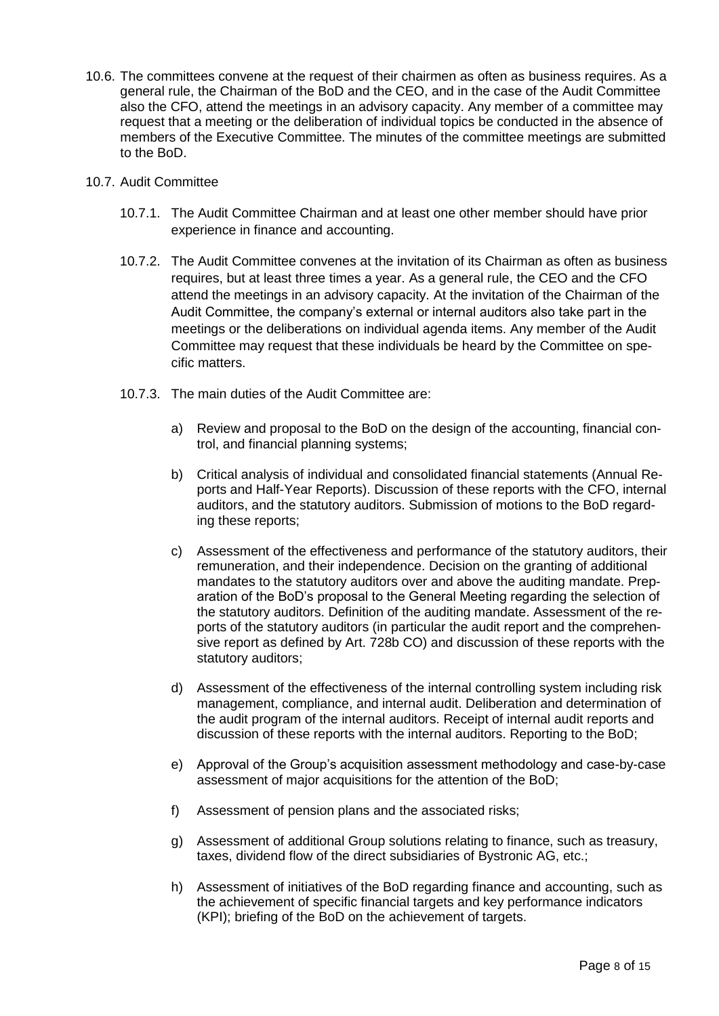- 10.6. The committees convene at the request of their chairmen as often as business requires. As a general rule, the Chairman of the BoD and the CEO, and in the case of the Audit Committee also the CFO, attend the meetings in an advisory capacity. Any member of a committee may request that a meeting or the deliberation of individual topics be conducted in the absence of members of the Executive Committee. The minutes of the committee meetings are submitted to the BoD.
- 10.7. Audit Committee
	- 10.7.1. The Audit Committee Chairman and at least one other member should have prior experience in finance and accounting.
	- 10.7.2. The Audit Committee convenes at the invitation of its Chairman as often as business requires, but at least three times a year. As a general rule, the CEO and the CFO attend the meetings in an advisory capacity. At the invitation of the Chairman of the Audit Committee, the company's external or internal auditors also take part in the meetings or the deliberations on individual agenda items. Any member of the Audit Committee may request that these individuals be heard by the Committee on specific matters.
	- 10.7.3. The main duties of the Audit Committee are:
		- a) Review and proposal to the BoD on the design of the accounting, financial control, and financial planning systems;
		- b) Critical analysis of individual and consolidated financial statements (Annual Reports and Half-Year Reports). Discussion of these reports with the CFO, internal auditors, and the statutory auditors. Submission of motions to the BoD regarding these reports;
		- c) Assessment of the effectiveness and performance of the statutory auditors, their remuneration, and their independence. Decision on the granting of additional mandates to the statutory auditors over and above the auditing mandate. Preparation of the BoD's proposal to the General Meeting regarding the selection of the statutory auditors. Definition of the auditing mandate. Assessment of the reports of the statutory auditors (in particular the audit report and the comprehensive report as defined by Art. 728b CO) and discussion of these reports with the statutory auditors;
		- d) Assessment of the effectiveness of the internal controlling system including risk management, compliance, and internal audit. Deliberation and determination of the audit program of the internal auditors. Receipt of internal audit reports and discussion of these reports with the internal auditors. Reporting to the BoD;
		- e) Approval of the Group's acquisition assessment methodology and case-by-case assessment of major acquisitions for the attention of the BoD;
		- f) Assessment of pension plans and the associated risks;
		- g) Assessment of additional Group solutions relating to finance, such as treasury, taxes, dividend flow of the direct subsidiaries of Bystronic AG, etc.;
		- h) Assessment of initiatives of the BoD regarding finance and accounting, such as the achievement of specific financial targets and key performance indicators (KPI); briefing of the BoD on the achievement of targets.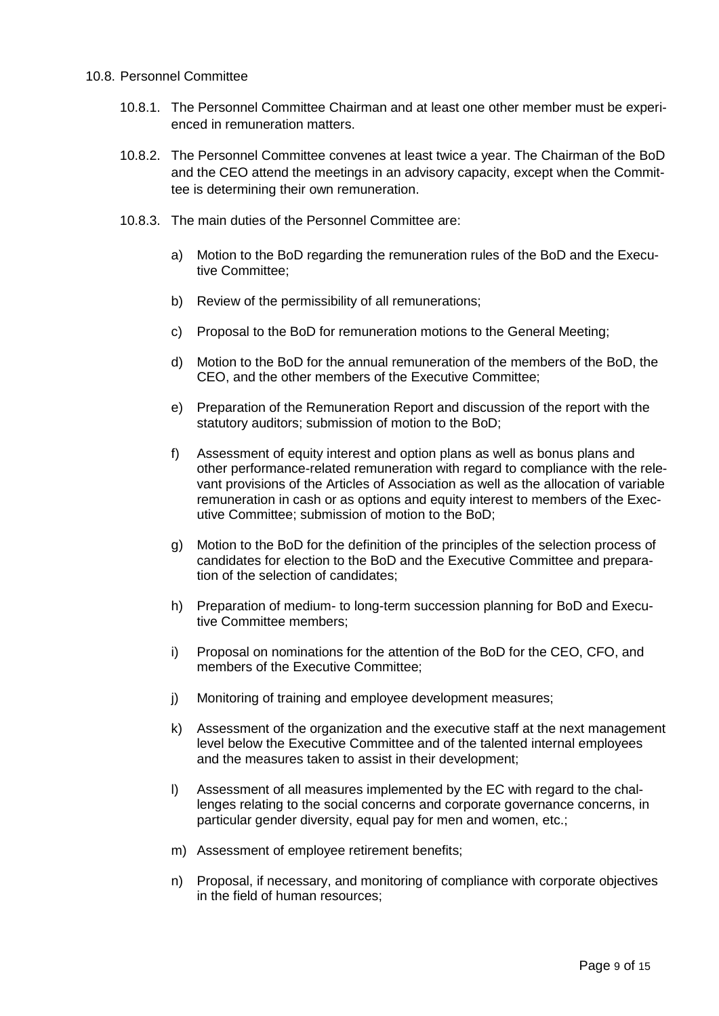#### 10.8. Personnel Committee

- 10.8.1. The Personnel Committee Chairman and at least one other member must be experienced in remuneration matters.
- 10.8.2. The Personnel Committee convenes at least twice a year. The Chairman of the BoD and the CEO attend the meetings in an advisory capacity, except when the Committee is determining their own remuneration.
- 10.8.3. The main duties of the Personnel Committee are:
	- a) Motion to the BoD regarding the remuneration rules of the BoD and the Executive Committee;
	- b) Review of the permissibility of all remunerations;
	- c) Proposal to the BoD for remuneration motions to the General Meeting;
	- d) Motion to the BoD for the annual remuneration of the members of the BoD, the CEO, and the other members of the Executive Committee;
	- e) Preparation of the Remuneration Report and discussion of the report with the statutory auditors; submission of motion to the BoD;
	- f) Assessment of equity interest and option plans as well as bonus plans and other performance-related remuneration with regard to compliance with the relevant provisions of the Articles of Association as well as the allocation of variable remuneration in cash or as options and equity interest to members of the Executive Committee; submission of motion to the BoD;
	- g) Motion to the BoD for the definition of the principles of the selection process of candidates for election to the BoD and the Executive Committee and preparation of the selection of candidates;
	- h) Preparation of medium- to long-term succession planning for BoD and Executive Committee members;
	- i) Proposal on nominations for the attention of the BoD for the CEO, CFO, and members of the Executive Committee;
	- j) Monitoring of training and employee development measures;
	- k) Assessment of the organization and the executive staff at the next management level below the Executive Committee and of the talented internal employees and the measures taken to assist in their development;
	- l) Assessment of all measures implemented by the EC with regard to the challenges relating to the social concerns and corporate governance concerns, in particular gender diversity, equal pay for men and women, etc.;
	- m) Assessment of employee retirement benefits;
	- n) Proposal, if necessary, and monitoring of compliance with corporate objectives in the field of human resources;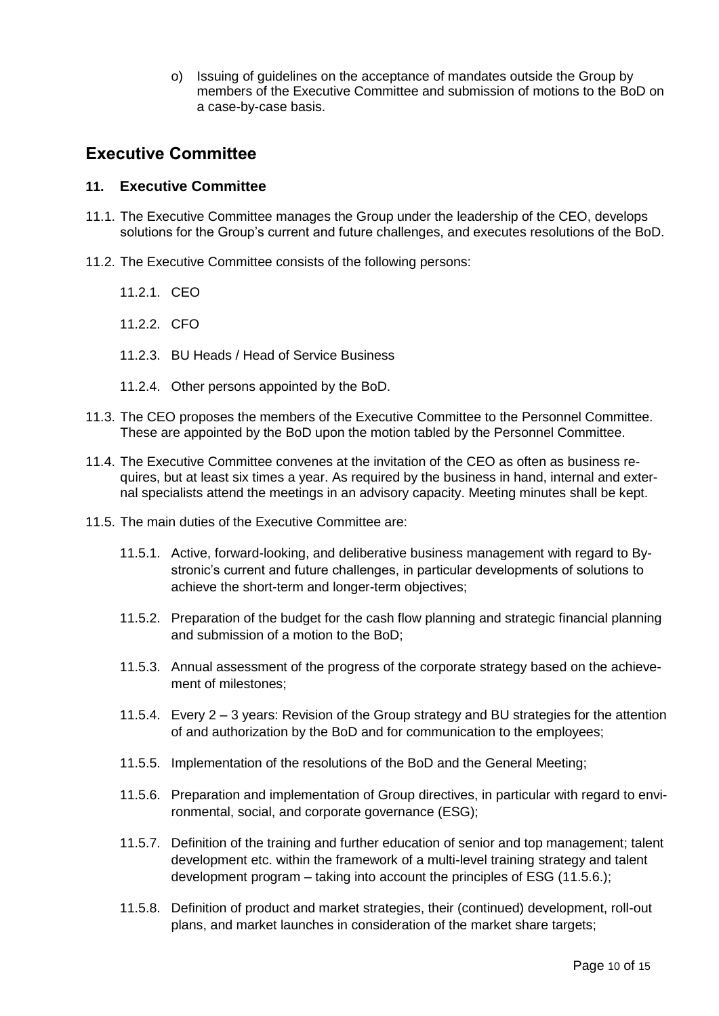o) Issuing of guidelines on the acceptance of mandates outside the Group by members of the Executive Committee and submission of motions to the BoD on a case-by-case basis.

# <span id="page-9-0"></span>**Executive Committee**

#### <span id="page-9-1"></span>**11. Executive Committee**

- 11.1. The Executive Committee manages the Group under the leadership of the CEO, develops solutions for the Group's current and future challenges, and executes resolutions of the BoD.
- 11.2. The Executive Committee consists of the following persons:
	- 11.2.1. CEO
	- 11.2.2. CFO
	- 11.2.3. BU Heads / Head of Service Business
	- 11.2.4. Other persons appointed by the BoD.
- 11.3. The CEO proposes the members of the Executive Committee to the Personnel Committee. These are appointed by the BoD upon the motion tabled by the Personnel Committee.
- 11.4. The Executive Committee convenes at the invitation of the CEO as often as business requires, but at least six times a year. As required by the business in hand, internal and external specialists attend the meetings in an advisory capacity. Meeting minutes shall be kept.
- 11.5. The main duties of the Executive Committee are:
	- 11.5.1. Active, forward-looking, and deliberative business management with regard to Bystronic's current and future challenges, in particular developments of solutions to achieve the short-term and longer-term objectives;
	- 11.5.2. Preparation of the budget for the cash flow planning and strategic financial planning and submission of a motion to the BoD;
	- 11.5.3. Annual assessment of the progress of the corporate strategy based on the achievement of milestones;
	- 11.5.4. Every 2 3 years: Revision of the Group strategy and BU strategies for the attention of and authorization by the BoD and for communication to the employees;
	- 11.5.5. Implementation of the resolutions of the BoD and the General Meeting;
	- 11.5.6. Preparation and implementation of Group directives, in particular with regard to environmental, social, and corporate governance (ESG);
	- 11.5.7. Definition of the training and further education of senior and top management; talent development etc. within the framework of a multi-level training strategy and talent development program – taking into account the principles of ESG (11.5.6.);
	- 11.5.8. Definition of product and market strategies, their (continued) development, roll-out plans, and market launches in consideration of the market share targets;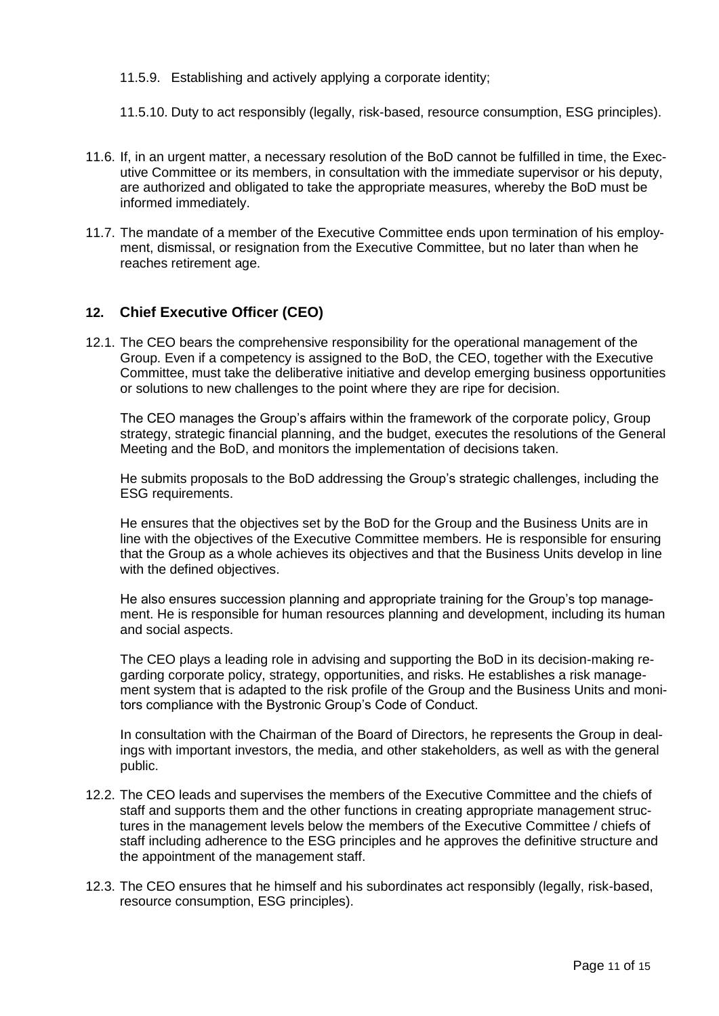- 11.5.9. Establishing and actively applying a corporate identity;
- 11.5.10. Duty to act responsibly (legally, risk-based, resource consumption, ESG principles).
- 11.6. If, in an urgent matter, a necessary resolution of the BoD cannot be fulfilled in time, the Executive Committee or its members, in consultation with the immediate supervisor or his deputy, are authorized and obligated to take the appropriate measures, whereby the BoD must be informed immediately.
- 11.7. The mandate of a member of the Executive Committee ends upon termination of his employment, dismissal, or resignation from the Executive Committee, but no later than when he reaches retirement age.

#### <span id="page-10-0"></span>**12. Chief Executive Officer (CEO)**

12.1. The CEO bears the comprehensive responsibility for the operational management of the Group. Even if a competency is assigned to the BoD, the CEO, together with the Executive Committee, must take the deliberative initiative and develop emerging business opportunities or solutions to new challenges to the point where they are ripe for decision.

The CEO manages the Group's affairs within the framework of the corporate policy, Group strategy, strategic financial planning, and the budget, executes the resolutions of the General Meeting and the BoD, and monitors the implementation of decisions taken.

He submits proposals to the BoD addressing the Group's strategic challenges, including the ESG requirements.

He ensures that the objectives set by the BoD for the Group and the Business Units are in line with the objectives of the Executive Committee members. He is responsible for ensuring that the Group as a whole achieves its objectives and that the Business Units develop in line with the defined objectives.

He also ensures succession planning and appropriate training for the Group's top management. He is responsible for human resources planning and development, including its human and social aspects.

The CEO plays a leading role in advising and supporting the BoD in its decision-making regarding corporate policy, strategy, opportunities, and risks. He establishes a risk management system that is adapted to the risk profile of the Group and the Business Units and monitors compliance with the Bystronic Group's Code of Conduct.

In consultation with the Chairman of the Board of Directors, he represents the Group in dealings with important investors, the media, and other stakeholders, as well as with the general public.

- 12.2. The CEO leads and supervises the members of the Executive Committee and the chiefs of staff and supports them and the other functions in creating appropriate management structures in the management levels below the members of the Executive Committee / chiefs of staff including adherence to the ESG principles and he approves the definitive structure and the appointment of the management staff.
- 12.3. The CEO ensures that he himself and his subordinates act responsibly (legally, risk-based, resource consumption, ESG principles).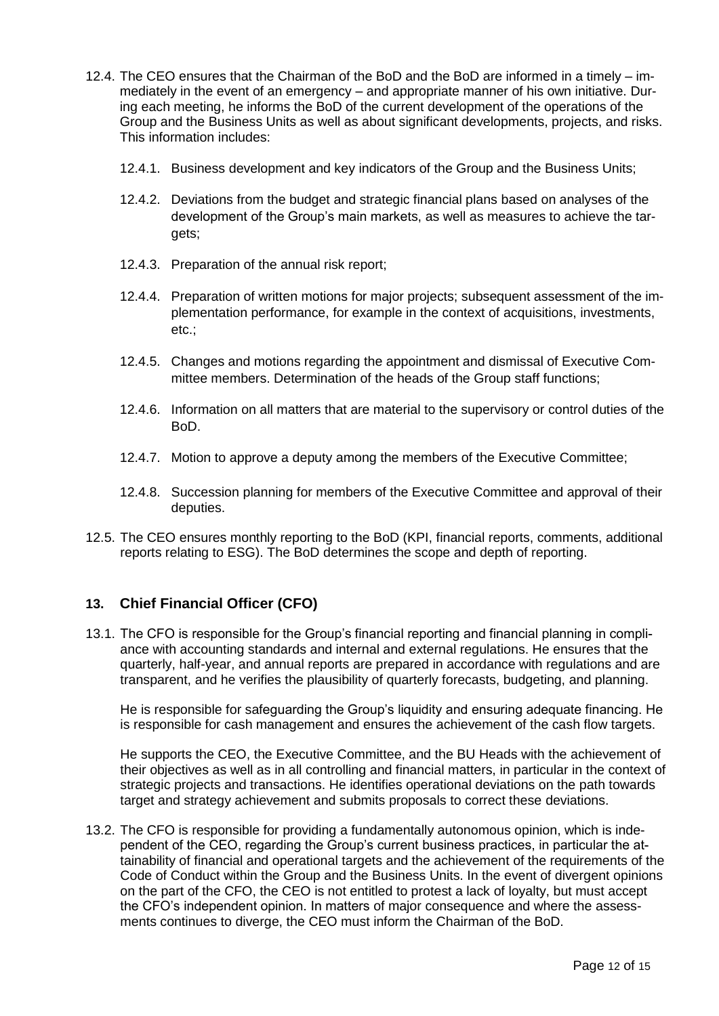- 12.4. The CEO ensures that the Chairman of the BoD and the BoD are informed in a timely immediately in the event of an emergency – and appropriate manner of his own initiative. During each meeting, he informs the BoD of the current development of the operations of the Group and the Business Units as well as about significant developments, projects, and risks. This information includes:
	- 12.4.1. Business development and key indicators of the Group and the Business Units;
	- 12.4.2. Deviations from the budget and strategic financial plans based on analyses of the development of the Group's main markets, as well as measures to achieve the targets;
	- 12.4.3. Preparation of the annual risk report;
	- 12.4.4. Preparation of written motions for major projects; subsequent assessment of the implementation performance, for example in the context of acquisitions, investments, etc.;
	- 12.4.5. Changes and motions regarding the appointment and dismissal of Executive Committee members. Determination of the heads of the Group staff functions;
	- 12.4.6. Information on all matters that are material to the supervisory or control duties of the BoD.
	- 12.4.7. Motion to approve a deputy among the members of the Executive Committee;
	- 12.4.8. Succession planning for members of the Executive Committee and approval of their deputies.
- 12.5. The CEO ensures monthly reporting to the BoD (KPI, financial reports, comments, additional reports relating to ESG). The BoD determines the scope and depth of reporting.

## <span id="page-11-0"></span>**13. Chief Financial Officer (CFO)**

13.1. The CFO is responsible for the Group's financial reporting and financial planning in compliance with accounting standards and internal and external regulations. He ensures that the quarterly, half-year, and annual reports are prepared in accordance with regulations and are transparent, and he verifies the plausibility of quarterly forecasts, budgeting, and planning.

He is responsible for safeguarding the Group's liquidity and ensuring adequate financing. He is responsible for cash management and ensures the achievement of the cash flow targets.

He supports the CEO, the Executive Committee, and the BU Heads with the achievement of their objectives as well as in all controlling and financial matters, in particular in the context of strategic projects and transactions. He identifies operational deviations on the path towards target and strategy achievement and submits proposals to correct these deviations.

13.2. The CFO is responsible for providing a fundamentally autonomous opinion, which is independent of the CEO, regarding the Group's current business practices, in particular the attainability of financial and operational targets and the achievement of the requirements of the Code of Conduct within the Group and the Business Units. In the event of divergent opinions on the part of the CFO, the CEO is not entitled to protest a lack of loyalty, but must accept the CFO's independent opinion. In matters of major consequence and where the assessments continues to diverge, the CEO must inform the Chairman of the BoD.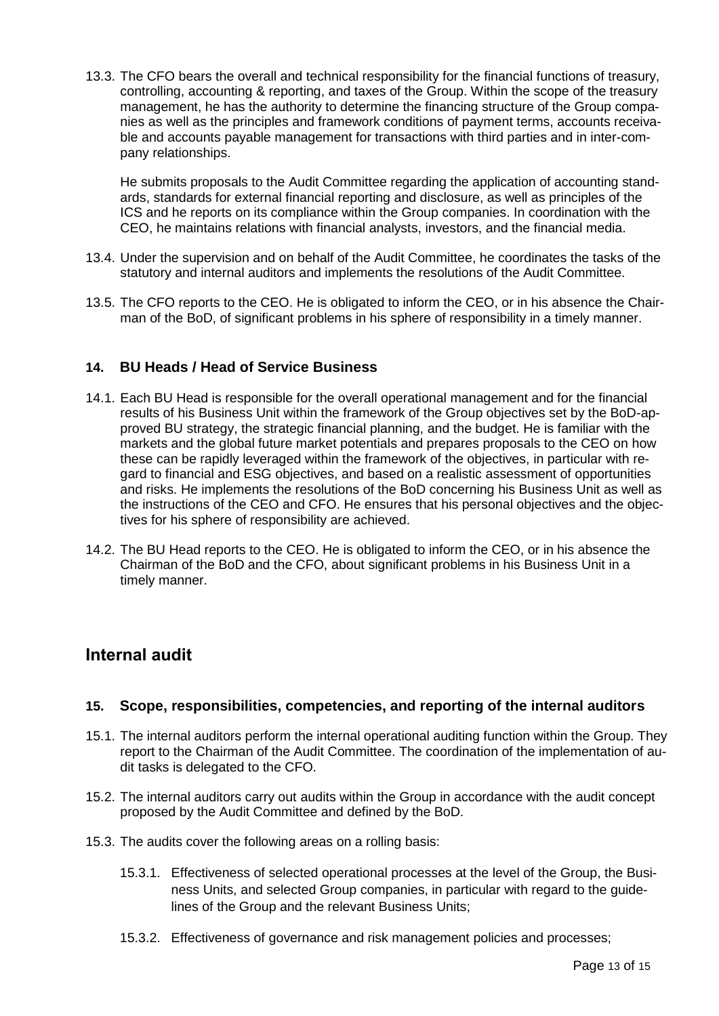13.3. The CFO bears the overall and technical responsibility for the financial functions of treasury, controlling, accounting & reporting, and taxes of the Group. Within the scope of the treasury management, he has the authority to determine the financing structure of the Group companies as well as the principles and framework conditions of payment terms, accounts receivable and accounts payable management for transactions with third parties and in inter-company relationships.

He submits proposals to the Audit Committee regarding the application of accounting standards, standards for external financial reporting and disclosure, as well as principles of the ICS and he reports on its compliance within the Group companies. In coordination with the CEO, he maintains relations with financial analysts, investors, and the financial media.

- 13.4. Under the supervision and on behalf of the Audit Committee, he coordinates the tasks of the statutory and internal auditors and implements the resolutions of the Audit Committee.
- 13.5. The CFO reports to the CEO. He is obligated to inform the CEO, or in his absence the Chairman of the BoD, of significant problems in his sphere of responsibility in a timely manner.

## <span id="page-12-0"></span>**14. BU Heads / Head of Service Business**

- 14.1. Each BU Head is responsible for the overall operational management and for the financial results of his Business Unit within the framework of the Group objectives set by the BoD-approved BU strategy, the strategic financial planning, and the budget. He is familiar with the markets and the global future market potentials and prepares proposals to the CEO on how these can be rapidly leveraged within the framework of the objectives, in particular with regard to financial and ESG objectives, and based on a realistic assessment of opportunities and risks. He implements the resolutions of the BoD concerning his Business Unit as well as the instructions of the CEO and CFO. He ensures that his personal objectives and the objectives for his sphere of responsibility are achieved.
- 14.2. The BU Head reports to the CEO. He is obligated to inform the CEO, or in his absence the Chairman of the BoD and the CFO, about significant problems in his Business Unit in a timely manner.

# <span id="page-12-1"></span>**Internal audit**

#### <span id="page-12-2"></span>**15. Scope, responsibilities, competencies, and reporting of the internal auditors**

- 15.1. The internal auditors perform the internal operational auditing function within the Group. They report to the Chairman of the Audit Committee. The coordination of the implementation of audit tasks is delegated to the CFO.
- 15.2. The internal auditors carry out audits within the Group in accordance with the audit concept proposed by the Audit Committee and defined by the BoD.
- 15.3. The audits cover the following areas on a rolling basis:
	- 15.3.1. Effectiveness of selected operational processes at the level of the Group, the Business Units, and selected Group companies, in particular with regard to the guidelines of the Group and the relevant Business Units;
	- 15.3.2. Effectiveness of governance and risk management policies and processes;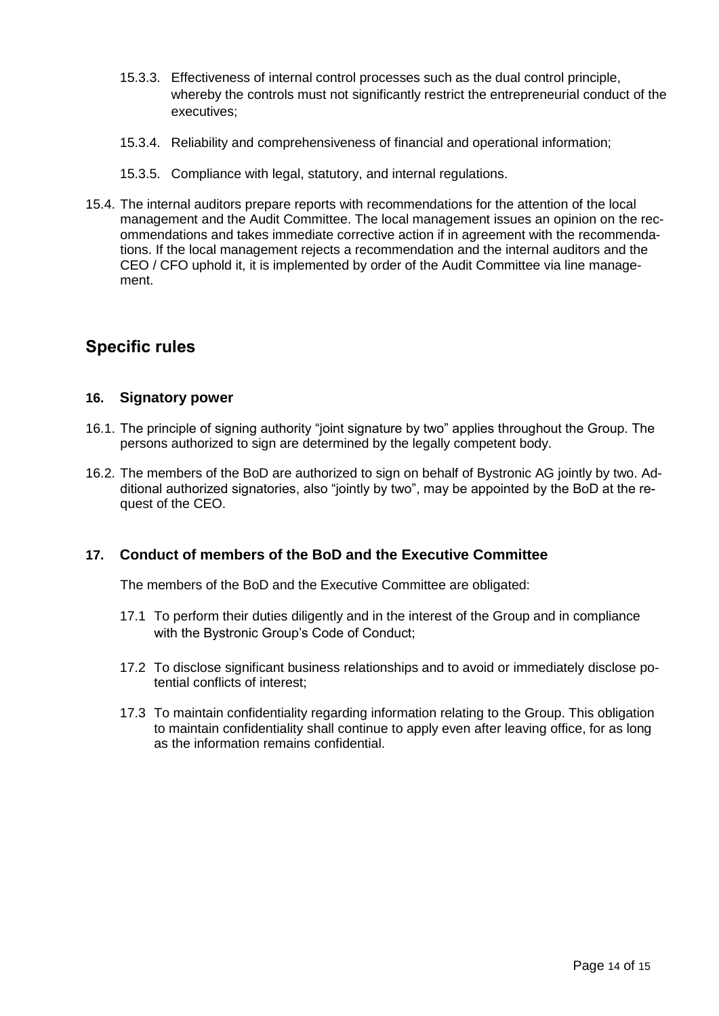- 15.3.3. Effectiveness of internal control processes such as the dual control principle, whereby the controls must not significantly restrict the entrepreneurial conduct of the executives;
- 15.3.4. Reliability and comprehensiveness of financial and operational information;
- 15.3.5. Compliance with legal, statutory, and internal regulations.
- 15.4. The internal auditors prepare reports with recommendations for the attention of the local management and the Audit Committee. The local management issues an opinion on the recommendations and takes immediate corrective action if in agreement with the recommendations. If the local management rejects a recommendation and the internal auditors and the CEO / CFO uphold it, it is implemented by order of the Audit Committee via line management.

# <span id="page-13-0"></span>**Specific rules**

#### <span id="page-13-1"></span>**16. Signatory power**

- 16.1. The principle of signing authority "joint signature by two" applies throughout the Group. The persons authorized to sign are determined by the legally competent body.
- 16.2. The members of the BoD are authorized to sign on behalf of Bystronic AG jointly by two. Additional authorized signatories, also "jointly by two", may be appointed by the BoD at the request of the CEO.

#### <span id="page-13-2"></span>**17. Conduct of members of the BoD and the Executive Committee**

The members of the BoD and the Executive Committee are obligated:

- 17.1 To perform their duties diligently and in the interest of the Group and in compliance with the Bystronic Group's Code of Conduct;
- 17.2 To disclose significant business relationships and to avoid or immediately disclose potential conflicts of interest;
- 17.3 To maintain confidentiality regarding information relating to the Group. This obligation to maintain confidentiality shall continue to apply even after leaving office, for as long as the information remains confidential.